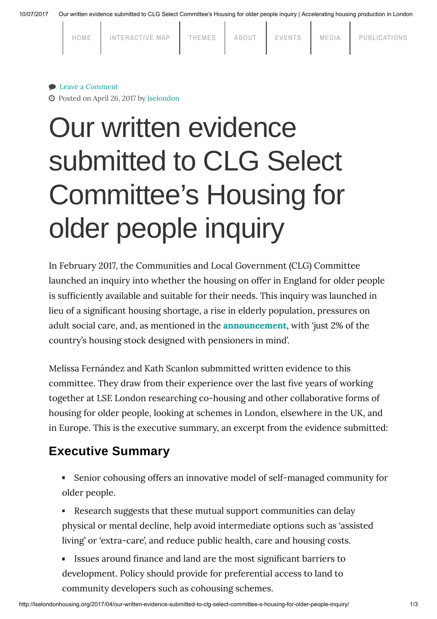10/07/2017 Our written evidence submitted to CLG Select Committee's Housing for older people inquiry | Accelerating housing production in London

| HOME | INTERACTIVE MAP | THEMES | ABOUT | EVENTS | MEDIA | PUBLICATIONS |
|------|-----------------|--------|-------|--------|-------|--------------|
|      |                 |        |       |        |       |              |

### ● Leave a [Comment](#page-1-0)

Posted on April 26, 2017 by [lselondon](http://lselondonhousing.org/author/lselondon/)

# Our written evidence submitted to CLG Select Committee's Housing for older people inquiry

In February 2017, the Communities and Local Government (CLG) Committee launched an inquiry into whether the housing on offer in England for older people is sufficiently available and suitable for their needs. This inquiry was launched in lieu of a significant housing shortage, a rise in elderly population, pressures on adult social care, and, as mentioned in the [announcement](https://www.parliament.uk/business/committees/committees-a-z/commons-select/communities-and-local-government-committee/news-parliament-2015/housing-for-older-people-inquiry-16-17/), with 'just 2% of the country's housing stock designed with pensioners in mind'.

Melissa Fernández and Kath Scanlon submmitted written evidence to this committee. They draw from their experience over the last five years of working together at LSE London researching co-housing and other collaborative forms of housing for older people, looking at schemes in London, elsewhere in the UK, and in Europe. This is the executive summary, an excerpt from the evidence submitted:

## Executive Summary

- Senior cohousing offers an innovative model of self-managed community for older people.
- Research suggests that these mutual support communities can delay physical or mental decline, help avoid intermediate options such as 'assisted living' or 'extra-care', and reduce public health, care and housing costs.
- Issues around finance and land are the most significant barriers to development. Policy should provide for preferential access to land to community developers such as cohousing schemes.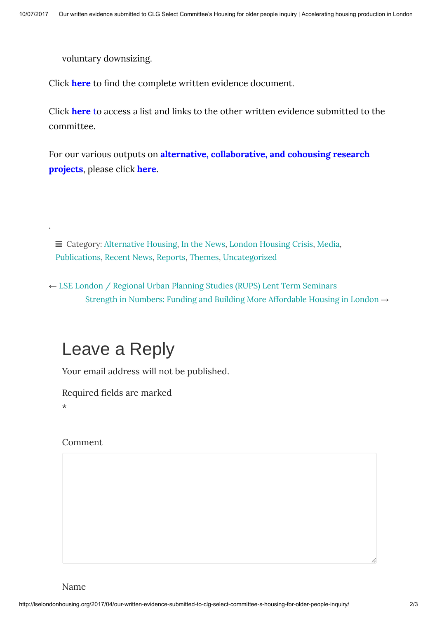voluntary downsizing.

Click **[here](http://data.parliament.uk/writtenevidence/committeeevidence.svc/evidencedocument/communities-and-local-government-committee/housing-for-older-people/written/49262.pdf)** to find the complete written evidence document.

Click [here](https://www.parliament.uk/business/committees/committees-a-z/commons-select/communities-and-local-government-committee/inquiries/parliament-2015/inquiry7/publications/) to access a list and links to the other written evidence submitted to the committee.

For our various outputs on alternative, [collaborative,](http://lselondonhousing.org/category/themes/london-housing-crisis/alternative-housing/) and cohousing research projects, please click [here.](http://lselondonhousing.org/category/themes/london-housing-crisis/alternative-housing/)

 $\equiv$  Category: [Alternative](http://lselondonhousing.org/category/themes/london-housing-crisis/alternative-housing/) Housing, In the [News,](http://lselondonhousing.org/category/media/in-the-news/) London [Housing](http://lselondonhousing.org/category/themes/london-housing-crisis/) Crisis, [Media,](http://lselondonhousing.org/category/media/) [Publications](http://lselondonhousing.org/category/publications/), [Recent](http://lselondonhousing.org/category/recent-news/) News, [Reports,](http://lselondonhousing.org/category/publications/reports/) [Themes,](http://lselondonhousing.org/category/themes/) [Uncategorized](http://lselondonhousing.org/category/uncategorized/)

← LSE London / Regional Urban Planning Studies (RUPS) Lent Term [Seminars](http://lselondonhousing.org/2017/03/lse-london-regional-urban-planning-studies-rups-lent-term-seminars/) Strength in Numbers: Funding and Building More [Affordable](http://lselondonhousing.org/2017/04/strength-in-numbers-funding-and-building-more-affordable-housing-in-london/) Housing in London →

# <span id="page-1-0"></span>Leave a Reply

Your email address will not be published.

Required fields are marked

\*

.

#### Comment